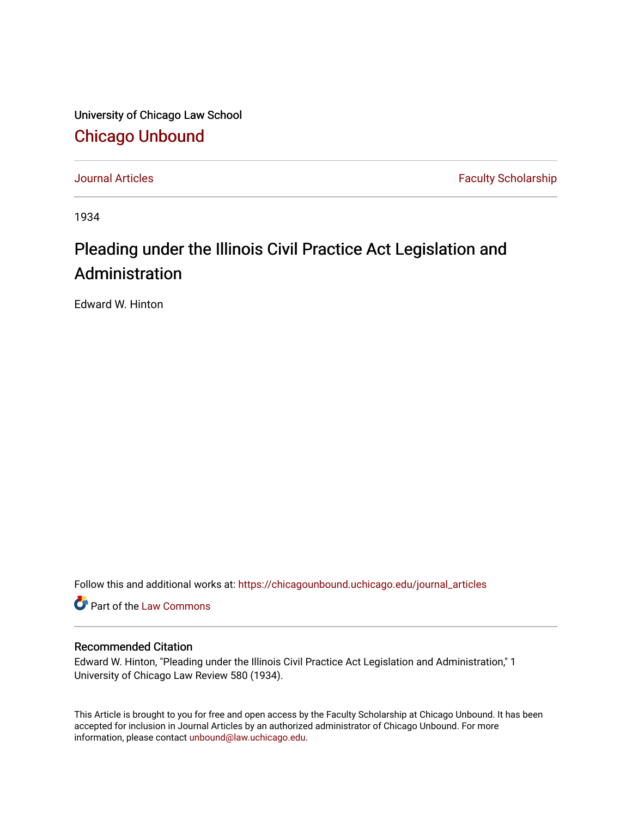University of Chicago Law School [Chicago Unbound](https://chicagounbound.uchicago.edu/)

[Journal Articles](https://chicagounbound.uchicago.edu/journal_articles) **Faculty Scholarship Faculty Scholarship** 

1934

## Pleading under the Illinois Civil Practice Act Legislation and Administration

Edward W. Hinton

Follow this and additional works at: [https://chicagounbound.uchicago.edu/journal\\_articles](https://chicagounbound.uchicago.edu/journal_articles?utm_source=chicagounbound.uchicago.edu%2Fjournal_articles%2F9293&utm_medium=PDF&utm_campaign=PDFCoverPages) 

Part of the [Law Commons](http://network.bepress.com/hgg/discipline/578?utm_source=chicagounbound.uchicago.edu%2Fjournal_articles%2F9293&utm_medium=PDF&utm_campaign=PDFCoverPages)

## Recommended Citation

Edward W. Hinton, "Pleading under the Illinois Civil Practice Act Legislation and Administration," 1 University of Chicago Law Review 580 (1934).

This Article is brought to you for free and open access by the Faculty Scholarship at Chicago Unbound. It has been accepted for inclusion in Journal Articles by an authorized administrator of Chicago Unbound. For more information, please contact [unbound@law.uchicago.edu](mailto:unbound@law.uchicago.edu).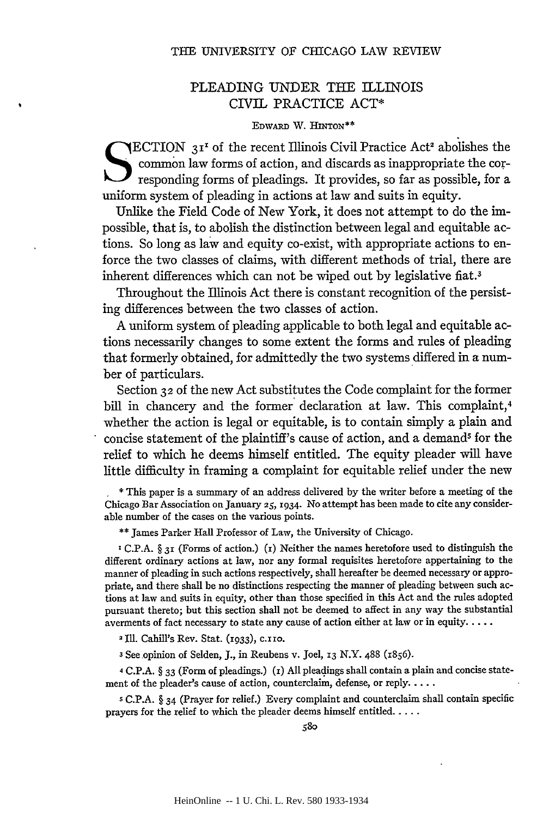## PLEADING UNDER THE ILLINOIS CIVIL PRACTICE ACT\*

## **EDWARD** W. **HINTON\*\***

**ECTION** 3<sup>1<sup>t</sup> of the recent Illinois Civil Practice Act<sup>2</sup> abolishes the</sup> common law forms of action, and discards as inappropriate the corresponding forms of pleadings. It provides, so far as possible, for a uniform system of pleading in actions at law and suits in equity.

Unlike the Field Code of New York, it does not attempt to do the impossible, that is, to abolish the distinction between legal and equitable actions. So long as law and equity co-exist, with appropriate actions to enforce the two classes of claims, with different methods of trial, there are inherent differences which can not be wiped out by legislative fiat.3

Throughout the Illinois Act there is constant recognition of the persisting differences between the two classes of action.

A uniform system of pleading applicable to both legal and equitable actions necessarily changes to some extent the forms and rules of pleading that formerly obtained, for admittedly the two systems differed in a number of particulars.

Section 32 of the new Act substitutes the Code complaint for the former bill in chancery and the former declaration at law. This complaint,<sup>4</sup> whether the action is legal or equitable, is to contain simply a plain and concise statement of the plaintiff's cause of action, and a demand' for the relief to which he deems himself entitled. The equity pleader will have little difficulty in framing a complaint for equitable relief under the new

**\*** This paper is a summary of an address delivered by the writer before a meeting of the Chicago Bar Association on January **25,** 1934. No attempt has been made to cite any considerable number of the cases on the various points.

**\*\*** James Parker Hall Professor of Law, the University of Chicago.

**I** C.P.A. **§** 31 (Forms of action.) (i) Neither the names heretofore used to distinguish the different ordinary actions at law, nor any formal requisites heretofore appertaining to the manner of pleading in such actions respectively, shall hereafter be deemed necessary or appropriate, and there shall be no distinctions respecting the manner of pleading between such actions at law and suits in equity, other than those specified in this Act and the rules adopted pursuant thereto; but this section shall not **be** deemed to affect in any way the substantial averments of fact necessary to state any cause of action either at law or in equity **.....**

2 Ill. Cahill's Rev. Stat. (1933), c. 11o.

**3** See.opinion of Selden, J., in Reubens v. Joel, **13** N.Y. 488 (1856).

**4** C.P.A. § 33 (Form of pleadings.) (i) All pleadings shall contain a plain and concise statement of the pleader's cause of action, counterclaim, defense, or reply **....**

**5** C.P.A. § 34 (Prayer for relief.) Every complaint and counterclaim shall contain specific prayers for the relief to which the pleader deems himself entitled **.....**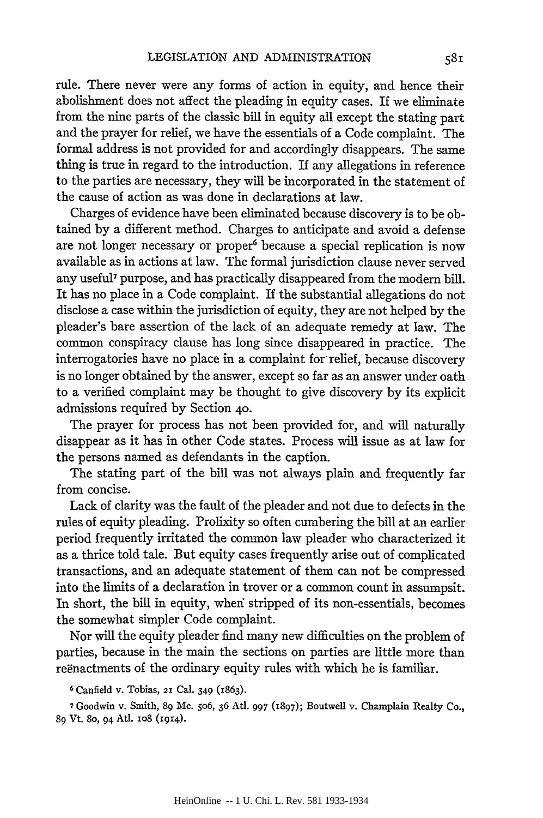rule. There never were any forms of action in equity, and hence their abolishment does not affect the pleading in equity cases. If we eliminate from the nine parts of the classic bill in equity all except the stating part and the prayer for relief, we have the essentials of a Code complaint. The formal address is not provided for and accordingly disappears. The same thing is true in regard to the introduction. If any allegations in reference to the parties are necessary, they will be incorporated in the statement of the cause of action as was done in declarations at law.

Charges of evidence have been eliminated because discovery is to be obtained by a different method. Charges to anticipate and avoid a defense are not longer necessary or proper<sup>6</sup> because a special replication is now available as in actions at law. The formal jurisdiction clause never served any useful<sup>7</sup> purpose, and has practically disappeared from the modern bill. It has no place in a Code complaint. If the substantial allegations do not disclose a case within the jurisdiction of equity, they are not helped by the pleader's bare assertion of the lack of an adequate remedy at law. The common conspiracy clause has long since disappeared in practice. The interrogatories have no place in a complaint for relief, because discovery is no longer obtained by the answer, except so far as an answer under oath to a verified complaint may be thought to give discovery by its explicit admissions required by Section **40.**

The prayer for process has not been provided for, and will naturally disappear as it has in other Code states. Process will issue as at law for the persons named as defendants in the caption.

The stating part of the bill was not always plain and frequently far from concise.

Lack of clarity was the fault of the pleader and not due to defects in the rules of equity pleading. Prolixity so often cumbering the bill at an earlier period frequently irritated the common law pleader who characterized it as a thrice told tale. But equity cases frequently arise out of complicated transactions, and an adequate statement of them can not be compressed into the limits of a declaration in trover or a common count in assumpsit. In short, the bill in equity, when stripped of its non-essentials, becomes the somewhat simpler Code complaint.

Nor will the equity pleader find many new difficulties on the problem of parties, because in the main the sections on parties are little more than reenactments of the ordinary equity rules with which he is familiar.

**6** Canfield v. Tobias, 2X Cal. 349 (1863).

7Goodwin v. Smith, **89 Me.** 5o6, **36** Atl. **997 (1897);** Boutwell v. Champlain Realty **Co., 89 Vt.** *8o,* 94 **Ad. io8** (1914).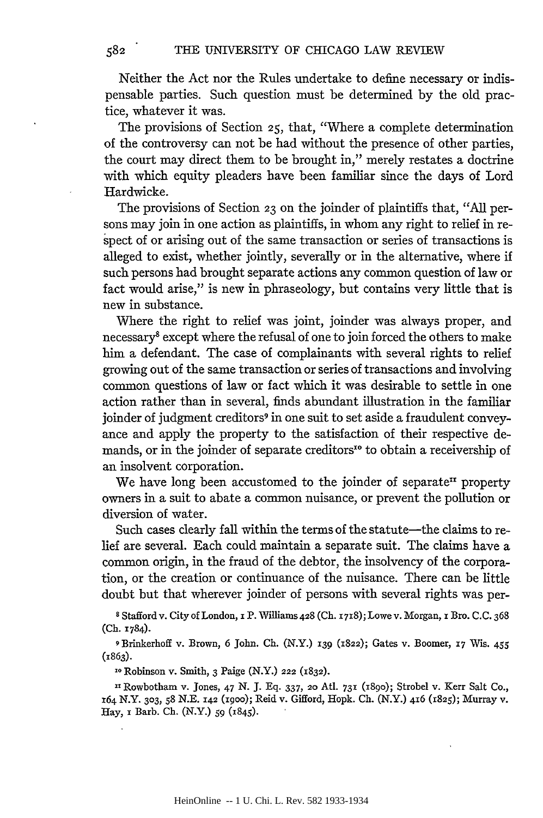Neither the Act nor the Rules undertake to define necessary or indispensable parties. Such question must be determined by the old practice, whatever it was.

The provisions of Section **25,** that, "Where a complete determination of the controversy can not be had without the presence of other parties, the court may direct them to be brought in," merely restates a doctrine with which equity pleaders have been familiar since the days of Lord Hardwicke.

The provisions of Section **23** on the joinder of plaintiffs that, "All persons may join in one action as plaintiffs, in whom any right to relief in respect of or arising out of the same transaction or series of transactions is alleged to exist, whether jointly, severally or in the alternative, where if such persons had brought separate actions any common question of law or fact would arise," is new in phraseology, but contains very little that is new in substance.

Where the right to relief was joint, joinder was always proper, and necessary8 except where the refusal of one to join forced the others to make him a defendant. The case of complainants with several rights to relief growing out of the same transaction or series of transactions and involving common questions of law or fact which it was desirable to settle in one action rather than in several, finds abundant illustration in the familiar joinder of judgment creditors<sup>9</sup> in one suit to set aside a fraudulent conveyance and apply the property to the satisfaction of their respective demands, or in the joinder of separate creditors<sup>to</sup> to obtain a receivership of an insolvent corporation.

We have long been accustomed to the joinder of separate<sup>11</sup> property owners in a suit to abate a common nuisance, or prevent the pollution or diversion of water.

Such cases clearly fall within the terms of the statute-the claims to relief are several. Each could maintain a separate suit. The claims have a common origin, in the fraud of the debtor, the insolvency of the corporation, or the creation or continuance of the nuisance. There can be little doubt but that wherever joinder of persons with several rights was per-

**8** Stafford v. City of London, i P. Williams 428 (Ch. x718); Lowev. Morgan, i Bro. C.C. 368 **(Ch.** 1784).

**9** Brinkerhoff v. Brown, 6 John. Ch. (N.Y.) **139 (1822);** Gates v. Boomer, **17** Wis. 455 (1863).

lo Robinson v. Smith, 3 Paige (N.Y.) 222 **(1832).**

**<sup>11</sup>**Rowbotham v. Jones, 47 N. J. Eq. 337, 2o AtI. **731 (I89O);** Strobel v. Kerr Salt Co., x64 N.Y. **303,** *58* N.E. **142** (igoo); Reid v. Gifford, Hopk. Ch. (N.Y.) 416 (r825); Murray v. Hay, i Barb. **Ch.** (N.Y.) *59* (1845).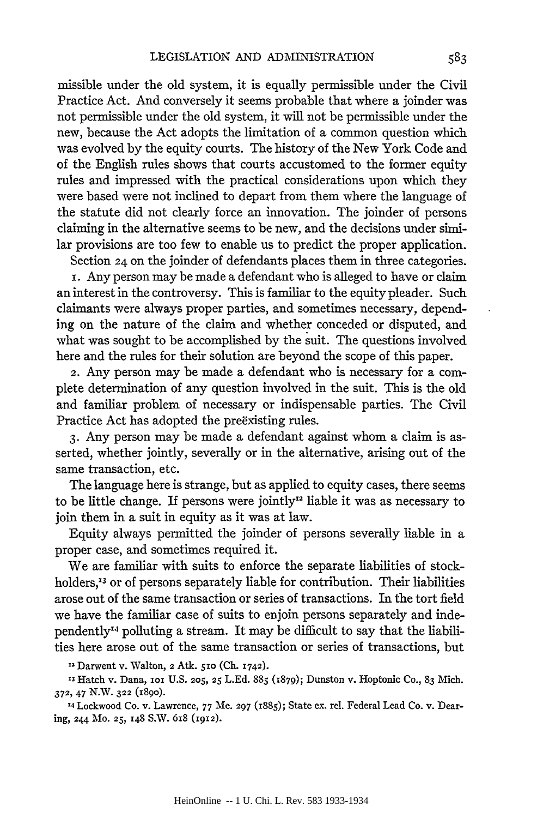missible under the old system, it is equally permissible under the Civil Practice Act. And conversely it seems probable that where a joinder was not permissible under the old system, it will not be permissible under the new, because the Act adopts the limitation of a common question which was evolved by the equity courts. The history of the New York Code and of the English rules shows that courts accustomed to the former equity rules and impressed with the practical considerations upon which they were based were not inclined to depart from them where the language of the statute did not clearly force an innovation. The joinder of persons claiming in the alternative seems to be new, and the decisions under similar provisions are too few to enable us to predict the proper application.

Section 24 on the joinder of defendants places them in three categories.

i. Any person may be made a defendant who is alleged to have or claim an interest in the controversy. This is familiar to the equity pleader. Such claimants were always proper parties, and sometimes necessary, depending on the nature of the claim and whether conceded or disputed, and what was sought to be accomplished by the suit. The questions involved here and the rules for their solution are beyond the scope of this paper.

2. Any person may be made a defendant who is necessary for a complete determination of any question involved in the suit. This is the old and familiar problem of necessary or indispensable parties. The Civil Practice Act has adopted the preexisting rules.

**3.** Any person may be made a defendant against whom a claim is asserted, whether jointly, severally or in the alternative, arising out of the same transaction, etc.

The language here is strange, but as applied to equity cases, there seems to be little change. If persons were jointly<sup>12</sup> liable it was as necessary to join them in a suit in equity as it was at law.

Equity always permitted the joinder of persons severally liable in a proper case, and sometimes required it.

We are familiar with suits to enforce the separate liabilities of stockholders,<sup>13</sup> or of persons separately liable for contribution. Their liabilities arose out of the same transaction or series of transactions. In the tort field we have the familiar case of suits to enjoin persons separately and independently 4 polluting a stream. It may be difficult to say that the liabilities here arose out of the same transaction or series of transactions, but

12 Darwent v. Walton, 2 Atk. *5io* **(Ch.** 1742).

**'3** Hatch v. Dana, **Iox U.S. 205, 25 L.Ed. 885 (1879);** Dunston v. Hoptonic Co., **83** Mich. **372,** 47 **N.,. 322** (189o).

**'4** Lockwood Co. v. Lawrence, **77** Me. **297** (1885); State ex. rel. Federal Lead Co. v. Dearing, 244 **Mo. 25, 148** S.W. **6x8** (1912).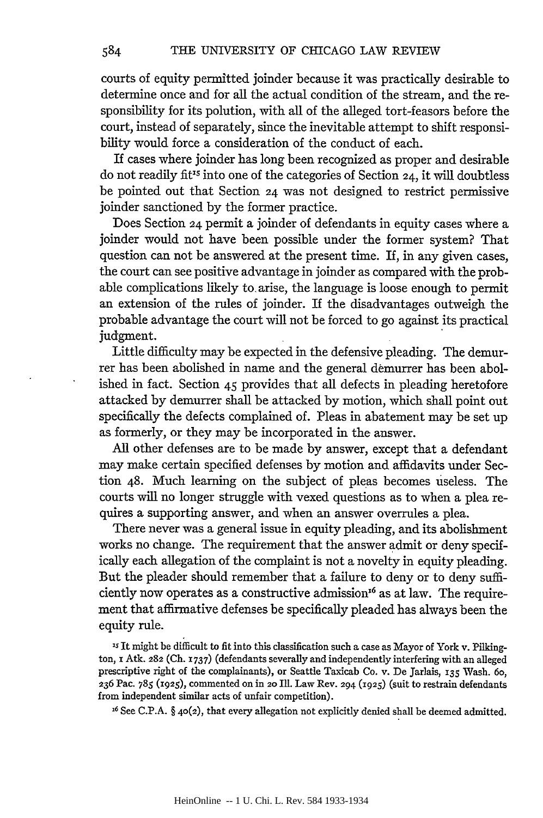courts of equity permitted joinder because it was practically desirable to determine once and for all the actual condition of the stream, and the responsibility for its polution, with all of the alleged tort-feasors before the court, instead of separately, since the inevitable attempt to shift responsibility would force a consideration of the conduct of each.

If cases where joinder has long been recognized as proper and desirable do not readily fit's into one of the categories of Section 24, it will doubtless be pointed out that Section 24 was not designed to restrict permissive joinder sanctioned by the former practice.

Does Section 24 permit a joinder of defendants in equity cases where a joinder would not have been possible under the former system? That question can not be answered at the present time. If, in any given cases, the court can see positive advantage in joinder as compared with the probable complications likely to, arise, the language is loose enough to permit an extension of the rules of joinder. If the disadvantages outweigh the probable advantage the court will not be forced to go against its practical judgment.

Little difficulty may be expected in the defensive pleading. The demurrer has been abolished in name and the general demurrer has been abolished in fact. Section 45 provides that all defects in pleading heretofore attacked by demurrer shall be attacked by motion, which shall point out specifically the defects complained of. Pleas in abatement may be set up as formerly, or they may be incorporated in the answer.

All other defenses are to be made by answer, except that a defendant may make certain specified defenses by motion and affidavits under Section 48. Much learning on the subject of pleas becomes useless. The courts will no longer struggle with vexed questions as to when a plea requires a supporting answer, and when an answer overrules a plea.

There never was a general issue in equity pleading, and its abolishment works no change. The requirement that the answer admit or deny specifically each allegation of the complaint is not a novelty in equity pleading. But the pleader should remember that a failure to deny or to deny sufficiently now operates as a constructive admission<sup>16</sup> as at law. The requirement that affirmative defenses be specifically pleaded has always been the equity rule.

**is** It might be difficult to fit into this classification such a case as Mayor of York v. Pilkington, **i** Atk. **282** (Ch. **1737)** (defendants severally and independently interfering with an alleged prescriptive right of the complainants), or Seattle Taxicab Co. v. De Jarlais, *135* Wash. **6o, 236** Pac. **785** (1925), commented on in **20 Ill.** Law Rev. 294 (1925) (suit to restrain defendants from independent similar acts of unfair competition).

**16** See **C.P.A.** § 40(2), that every allegation not explicitly denied shall be deemed admitted.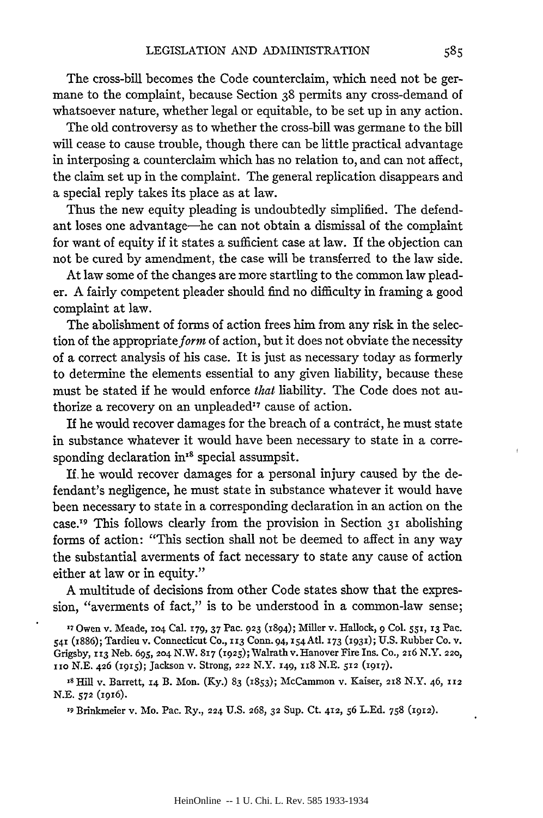The cross-bill becomes the Code counterclaim, which need not be germane to the complaint, because Section 38 permits any cross-demand of whatsoever nature, whether legal or equitable, to be set up in any action.

The old controversy as to whether the cross-bill was germane to the bill will cease to cause trouble, though there can be little practical advantage in interposing a counterclaim which has no relation to, and can not affect, the claim set up in the complaint. The general replication disappears and a special reply takes its place as at law.

Thus the new equity pleading is undoubtedly simplified. The defendant loses one advantage-he can not obtain a dismissal of the complaint for want of equity if it states a sufficient case at law. If the objection can not be cured by amendment, the case will be transferred to the law side.

At law some of the changes are more startling to the common law pleader. A fairly competent pleader should find no difficulty in framing a good complaint at law.

The abolishment of forms of action frees him from any risk in the selection of the appropriate form of action, but it does not obviate the necessity of a correct analysis of his case. It is just as necessary today as formerly to determine the elements essential to any given liability, because these must be stated if he would enforce *that* liability. The Code does not authorize a recovery on an unpleaded<sup>17</sup> cause of action.

If he would recover damages for the breach of a contract, he must state in substance whatever it would have been necessary to state in a corresponding declaration in'8 special assumpsit.

If. he would recover damages for a personal injury caused by the defendant's negligence, he must state in substance whatever it would have been necessary to state in a corresponding declaration in an action on the case.<sup>19</sup> This follows clearly from the provision in Section  $3<sub>I</sub>$  abolishing forms of action: "This section shall not be deemed to affect in any way the substantial averments of fact necessary to state any cause of action either at law or in equity."

A multitude of decisions from other Code states show that the expression, "averments of fact," is to be understood in a common-law sense;

**17** Owen v. Meade, io4 Cal. 179, 37 Pac. **923** (894); Miller v. Hallock, **9** Col. *55i,* **13** Pac. **<sup>541</sup>**(i886); Tardieu v. Connecticut Co., **113** Conn. 94, i54 Atl. **173** (93i); U.S. Rubber Co. v. Grigsby, **113** Neb. **695, 2o4** N.W. **817** (19 25);Walrathv. Hanover Fire Ins. Co., 216 N.Y. **220,** iio N.E. 426 (i915); Jackson v. Strong, 222 N.Y. 149, xx8 N.E. 512 **(1917).**

**is** Hill v. Barrett, 14 B. Mon. (Ky.) 83 (1853); McCanmon v. Kaiser, 218 N.Y. 46, *112* N.E. **572** (igi6).

**19** Brinkmeier v. Mo. Pac. Ry., 224 U.S. 268, **32** Sup. Ct. 412, **56** L.Ed. 758 (1912).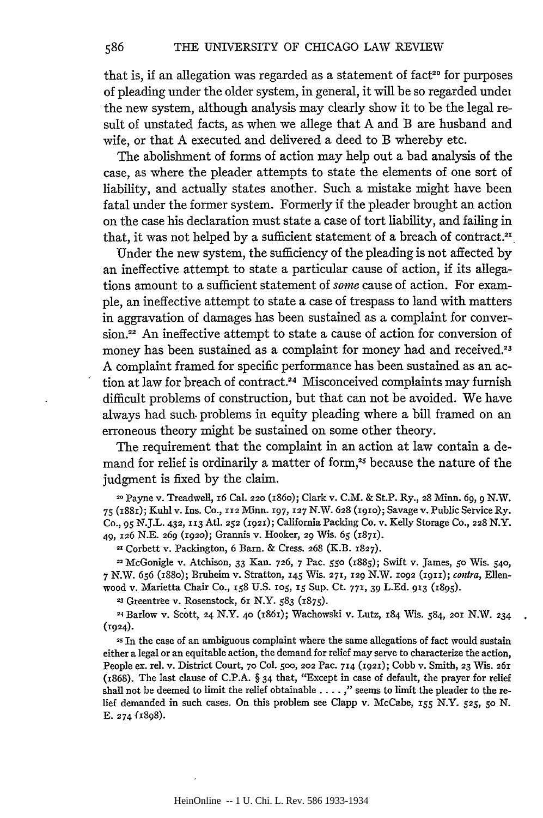that is, if an allegation was regarded as a statement of fact<sup>20</sup> for purposes of pleading under the older system, in general, it will be so regarded undel the new system, although analysis may clearly show it to be the legal result of unstated facts, as when we allege that A and B are husband and wife, or that A executed and delivered a deed to B whereby etc.

The abolishment of forms of action may help out a bad analysis of the case, as where the pleader attempts to state the elements of one sort of liability, and actually states another. Such a mistake might have been fatal under the former system. Formerly if the pleader brought an action on the case his declaration must state a case of tort liability, and failing in that, it was not helped by a sufficient statement of a breach of contract.<sup>21</sup>

Under the new system, the sufficiency of the pleading is not affected by an ineffective attempt to state a particular cause of action, if its allegations amount to a sufficient statement of *some* cause of action. For example, an ineffective attempt to state a case of trespass to land with matters in aggravation of damages has been sustained as a complaint for conver**sion.22** An ineffective attempt to state a cause of action for conversion of money has been sustained as a complaint for money had and received.<sup>23</sup> A complaint framed for specific performance has been sustained as an action at law for breach of contract.<sup>24</sup> Misconceived complaints may furnish difficult problems of construction, but that can not be avoided. We have always had such. problems in equity pleading where a bill framed on an erroneous theory might be sustained on some other theory.

The requirement that the complaint in an action at law contain a demand for relief is ordinarily a matter of form,<sup>25</sup> because the nature of the judgment is fixed by the claim.

20 Payne v. Treadwell, 16 Cal. **220** (i86o); Clark v. C.M. & St.P. Ry., 28 Minn. **69,** *9* N.W. 75 (i881); Kuhl v. Ins. Co., **112** Minn. **197, 127** N.W. **628** (igio); Savage v. Public Service Ry. Co., *95* N.J.L. 432, **113** Atl. 252 (1921); California Packing Co. v. Kelly Storage Co., **228** N.Y. 49, **126** N.E. **269** (1920); Grannis v. Hooker, 29 Wis. *65* (1871).

**21** Corbett v. Packington, 6 Barn. & Cress. 268 (K.B. **1827).**

McGonigle v. Atchison, 33 Kan. **726,** 7 Pac. *55o* (i885); Swift v. James, *50* Wis. **540,** 7 N.W. 656 (i88o); Bruheim v. Stratton, 145 Wis. **271, 129** N.W. **1092 (IgII);** contra, Ellenwood v. Marietta Chair Co., **158** U.S. **105, 15** Sup. Ct. **771,** 39 LEd. **913** (1895).

**<sup>23</sup>**Greentree v. Rosenstock, 6x N.Y. 583 **(1875).**

**24** Barlow v. Scott, 24 N.Y. **40** (1861); Wachowski v. Lutz, **184** Wis. 584, **2oi** N.W. 234 (1924).

2s In the case of an ambiguous complaint where the same allegations of fact would sustain either a legal or an equitable action, the demand for relief may serve to characterize the action, People ex. rel. v. District Court, **70** Col. **500,** 202 Pac. **714** (1921); Cobb v. Smith, **23** Wis. **261** (i868). The last clause of C.P.A. § 34 that, "Except in case of default, the prayer for relief shall not be deemed to limit the relief obtainable .... *,"* seems to limit the pleader to the relief demanded in such cases. On this problem see Clapp v. McCabe, *155* N.Y. **525,** *5o N.* E. 274 f1898).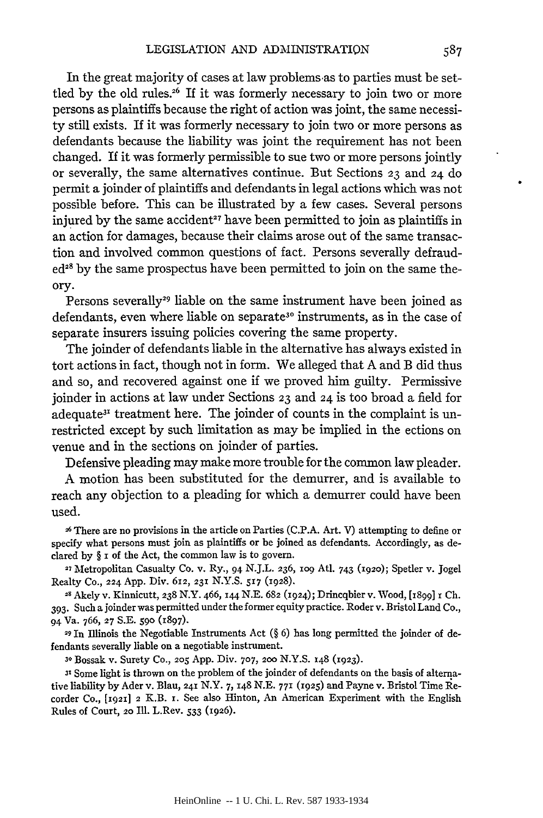In the great majority of cases at law problems as to parties must be settled by the old rules.<sup>26</sup> If it was formerly necessary to join two or more persons as plaintiffs because the right of action was joint, the same necessity still exists. If it was formerly necessary to join two or more persons as defendants because the liability was joint the requirement has not been changed. If it was formerly permissible to sue two or more persons jointly or severally, the same alternatives continue. But Sections **23** and 24 do permit a joinder of plaintiffs and defendants in legal actions which was not possible before. This can be illustrated by a few cases. Several persons injured by the same accident<sup>27</sup> have been permitted to join as plaintiffs in an action for damages, because their claims arose out of the same transaction and involved common questions of fact. Persons severally defraud $ed^{28}$  by the same prospectus have been permitted to join on the same theory.

Persons severally<sup>29</sup> liable on the same instrument have been joined as defendants, even where liable on separate<sup>30</sup> instruments, as in the case of separate insurers issuing policies covering the same property.

The joinder of defendants liable in the alternative has always existed in tort actions in fact, though not in form. We alleged that A and B did thus and so, and recovered against one if we proved him guilty. Permissive joinder in actions at law under Sections **23** and 24 is too broad a field for adequate<sup>31</sup> treatment here. The joinder of counts in the complaint is unrestricted except by such limitation as may be implied in the ections on venue and in the sections on joinder of parties.

Defensive pleading may make more trouble for the common law pleader.

A motion has been substituted for the demurrer, and is available to reach any objection to a pleading for which a demurrer could have been used.

**26** There are no provisions in the article on Parties (C.P.A. Art. V) attempting to define or specify what persons must join as plaintiffs or be joined as defendants. Accordingly, as declared by § **i** of the Act, the common law is to govern.

**27** Metropolitan Casualty Co. v. Ry., 94 N.J.L. **236, 1o9** At. 743 **(1920);** Spetler v. Jogel Realty Co., **224** App. Div. **612, 231** N.Y.S. **517** (1928).

**28** Akely v. Kinnicutt, **238** N.Y. 466, 144 N.E. **682** (1924); Drincqbier v. Wood, [1899] x Ch. **393.** Such a joinder was permitted under the former equity practice. Roder v. Bristol Land Co., 94 Va. 766, **27** S.E. **590** (1897).

**29** In Illinois the Negotiable Instruments Act (§ 6) has long permitted the joinder of defendants severally liable on a negotiable instrument.

**<sup>30</sup>**Bossak v. Surety Co., *2o5* App. Div. **707, 200** N.Y.S. **148** (1923).

**31** Some light is thrown on the problem of the joinder of defendants on the basis of alternative liability by Ader v. Blau, **241** N.Y. 7, **148** N.E. **771** (1925) and Payne v. Bristol Time Riecorder Co., **[1921]** 2 K.B. **i.** See also Hinton, An American Experiment with the English Rules of Court, **20** Ill. L.Rev. 533 (1926).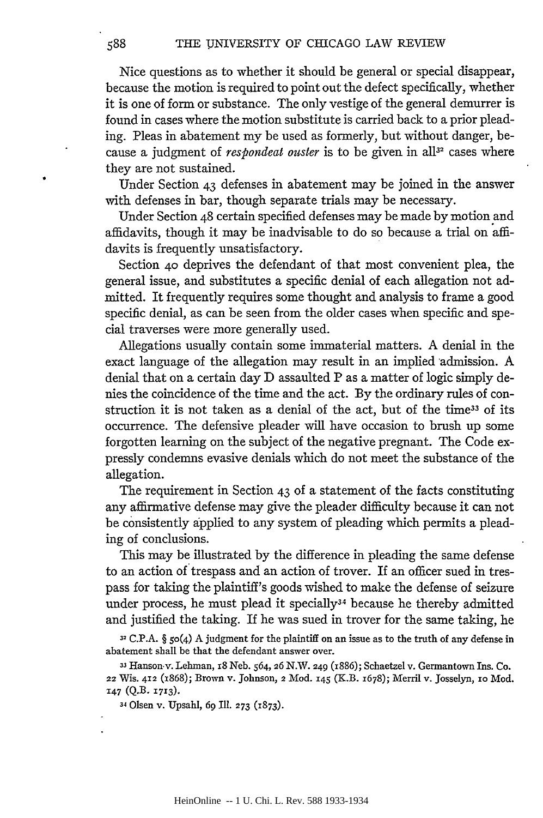Nice questions as to whether it should be general or special disappear, because the motion is required to point out the defect specifically, whether it is one of form or substance. The only vestige of the general demurrer is found in cases where the motion substitute is carried back to a prior pleading. Pleas in abatement my be used as formerly, but without danger, because a judgment of *respondeat ouster* is to be given in all<sup>32</sup> cases where they are not sustained.

Under Section 43 defenses in abatement may be joined in the answer with defenses in bar, though separate trials may be necessary.

Under Section 48 certain specified defenses may be made by motion and affidavits, though it may be inadvisable to do so because a trial on affidavits is frequently unsatisfactory.

Section **40** deprives the defendant of that most convenient plea, the general issue, and substitutes a specific denial of each allegation not admitted. It frequently requires some thought and analysis to frame a good specific denial, as can be seen from the older cases when specific and special traverses were more generally used.

Allegations usually contain some immaterial matters. A denial in the exact language of the allegation may result in an implied admission. A denial that on a certain day D assaulted P as a matter of logic simply denies the coincidence of the time and the act. By the ordinary rules of construction it is not taken as a denial of the act, but of the time<sup>33</sup> of its occurrence. The defensive pleader will have occasion to brush up some forgotten learning on the subject of the negative pregnant. The Code expressly condemns evasive denials which do not meet the substance of the allegation.

The requirement in Section 43 of a statement of the facts constituting any affirmative defense may give the pleader difficulty because it can not be consistently applied to any system of pleading which permits a pleading of conclusions.

This may be illustrated by the difference in pleading the same defense to an action of trespass and an action of trover. If an officer sued in trespass for taking the plaintiff's goods wished to make the defense of seizure under process, he must plead it specially<sup>34</sup> because he thereby admitted and justified the taking. If he was sued in trover for the same taking, he

**32 C.P.A.** § 5o(4) **A** judgment for the plaintiff on an issue as to the truth of any defense in abatement shall be that the defendant answer over.

**33** Hanson.v. Lehman, 18 Neb. 564, **26** N.W. 249 (i886); Schaetzel v. Germantown Ins. **Co.** 22 **Wis. 412 (x868); Brown** v. Johnson, 2 **Mod. i45 (K.B.** 1678); Merril v. Josselyn, **io** Mod. 147 **(Q.B. 1713).**

34 Olsen **v.** Upsahl, **69 Ill. 273 (1873).**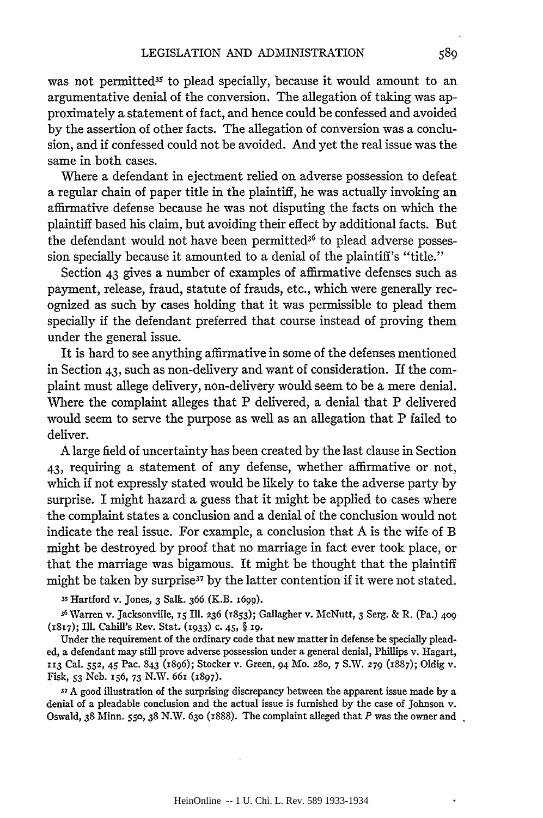was not permitted<sup>35</sup> to plead specially, because it would amount to an argumentative denial of the conversion. The allegation of taking was approximately a statement of fact, and hence could be confessed and avoided by the assertion of other facts. The allegation of conversion was a conclusion, and if confessed could not be avoided. And yet the real issue was the same in both cases.

Where a defendant in ejectment relied on adverse possession to defeat a regular chain of paper title in the plaintiff, he was actually invoking an affirmative defense because he was not disputing the facts on which the plaintiff based his claim, but avoiding their effect by additional facts. But the defendant would not have been permitted<sup>36</sup> to plead adverse possession specially because it amounted to a denial of the plaintiff's "title."

Section 43 gives a number of examples of affirmative defenses such as payment, release, fraud, statute of frauds, etc., which were generally recognized as such by cases holding that it was permissible to plead them specially if the defendant preferred that course instead of proving them under the general issue.

It is hard to see anything affirmative in some of the defenses mentioned in Section 43, such as non-delivery and want of consideration. If the complaint must allege delivery, non-delivery would seem to be a mere denial. Where the complaint alleges that P delivered, a denial that P delivered would seem to serve the purpose as well as an allegation that P failed to deliver.

A large field of uncertainty has been created by the last clause in Section 43, requiring a statement of any defense, whether affirmative or not, which if not expressly stated would be likely to take the adverse party by surprise. I might hazard a guess that it might be applied to cases where the complaint states a conclusion and a denial of the conclusion would not indicate the real issue. For example, a conclusion that A is the wife of B might be destroyed by proof that no marriage in fact ever took place, or that the marriage was bigamous. It might be thought that the plaintiff might be taken by surprise<sup>37</sup> by the latter contention if it were not stated.

**35** Hartford v. Jones, **3** Salk. 366 (K.B. 1699).

**36** Warren v. Jacksonville, *15* Ill. **236** (1853); Gallagher v. McNutt, 3 Serg. & R. (Pa.) **409** (1817); Ill. Cahill's Rev. Stat. **(1933)** c. 45, § **19.**

Under the requirement of the ordinary code that new matter in defense be specially pleaded, a defendant may still prove adverse possession under a general denial, Phillips v. Hagart, **113** Cal. *552, 45* Pac. 843 (1896); Stocker v. Green, 94 Mo. **280, 7** S.W. **279** (1887); Oldig v. Fisk, *53* Neb. 156, **73** N.W. 66i (897).

**37** A good illustration of the surprising discrepancy between the apparent issue made by a denial of a pleadable conclusion and the actual issue is furnished by the case of Johnson v. Oswald, **38** Minn. **550, 38** N.W. **630** (i888). The complaint alleged that *P* was the owner and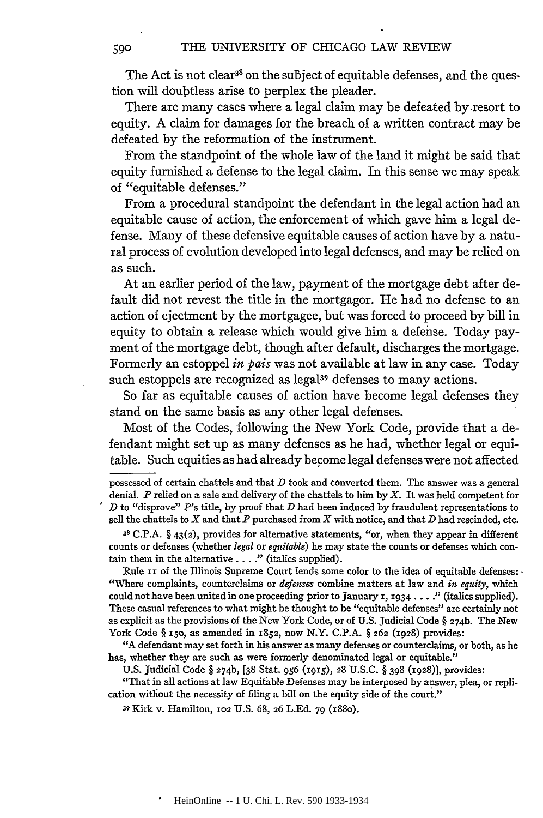The Act is not clear<sup>38</sup> on the subject of equitable defenses, and the question will doubtless arise to perplex the pleader.

There are many cases where a legal claim may be defeated **by** resort to equity. **A** claim for damages for the breach of a written contract may be defeated **by** the reformation of the instrument.

From the standpoint of the whole law of the land it might be said that equity furnished a defense to the legal claim. In this sense we may speak of "equitable defenses."

From a procedural standpoint the defendant in the legal action had an equitable cause of action, the enforcement of which gave him a legal defense. Many of these defensive equitable causes of action have **by** a natural process of evolution developed into legal defenses, and may be relied on as such.

At an earlier period of the law, payment of the mortgage debt after default did not revest the title in the mortgagor. He had no defense to an action of ejectment **by** the mortgagee, but was forced to proceed **by** bill in equity to obtain a release which would give him a defense. Today payment of the mortgage debt, though after default, discharges the mortgage. Formerly an estoppel *in pais* was not available at law in any case. Today such estoppels are recognized as legal<sup>39</sup> defenses to many actions.

So far as equitable causes of action have become legal defenses they stand on the same basis as any other legal defenses.

Most of the Codes, following the New York Code, provide that a defendant might set up as many defenses as he had, whether legal or equitable. Such equities as had already become legal defenses were not affected

**38 C.P.A. § 43(2),** provides for alternative statements, "or, when they appear in different counts or defenses (whether *legal* or *equitable)* he may state the counts or defenses which con**tain** them in the alternative. **. .** *2"* (italics supplied).

Rule II of the Illinois Supreme Court lends some color to the idea of equitable defenses: . "Where complaints, counterclaims or *defenses* combine matters at law and *in equity,* which could not have been united in one proceeding prior to January **i, 1934 ... "** (italics supplied). These casual references to what might be thought to be "equitable defenses" are certainly not **as** explicit as **the** provisions of the New York Code, or of **U.S.** Judicial Code **§ 27 4b.** The New York Code **§** x5o, as amended in **1852,** now N.Y. **C.P.A. § 262 (1928)** provides:

**"A** defendant may set forth in his answer as many defenses or counterclaims, or both, as he has, whether they are such as were formerly denominated legal or equitable."

**U.S.** Judicial Code **§ 274b, [38 Stat.** *956* **(x915), 28 U.S.C. § 398 (1928)],** provides:

"That in all actions at law Equitable Defenses may be interposed **by** answer, plea, or replication without the necessity of filing a bill on the equity side of the court."

**<sup>39</sup>**Kirk v. Hamilton, **102 U.S. 68, 26 L.Ed. 79** (r8o).

possessed of certain chattels and that *D* took and converted them. The answer was a general denial. *P* relied on a sale and delivery of the chattels to him **by** *X.* It was held competent for *D* to "disprove" P's title, **by** proof that *D* had been induced **by** fraudulent representations to sell the chattels to X and that *P* purchased from X with notice, and that *D* had rescinded, etc.